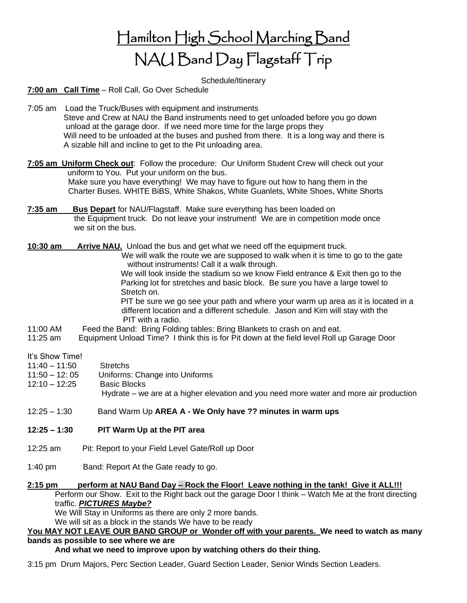Hamilton High School Marching Band NAU Band Day Flagstaff Trip

Schedule/Itinerary

**7:00 am Call Time** – Roll Call, Go Over Schedule

- 7:05 am Load the Truck/Buses with equipment and instruments Steve and Crew at NAU the Band instruments need to get unloaded before you go down unload at the garage door. If we need more time for the large props they Will need to be unloaded at the buses and pushed from there. It is a long way and there is A sizable hill and incline to get to the Pit unloading area.
- **7:05 am Uniform Check out**: Follow the procedure: Our Uniform Student Crew will check out your uniform to You. Put your uniform on the bus. Make sure you have everything! We may have to figure out how to hang them in the Charter Buses. WHITE BiBS, White Shakos, White Guanlets, White Shoes, White Shorts
- **7:35 am Bus Depart** for NAU/Flagstaff. Make sure everything has been loaded on the Equipment truck. Do not leave your instrument! We are in competition mode once we sit on the bus.
- **10:30 am Arrive NAU.** Unload the bus and get what we need off the equipment truck.

 We will walk the route we are supposed to walk when it is time to go to the gate without instruments! Call it a walk through.

 We will look inside the stadium so we know Field entrance & Exit then go to the Parking lot for stretches and basic block. Be sure you have a large towel to Stretch on.

 PIT be sure we go see your path and where your warm up area as it is located in a different location and a different schedule. Jason and Kim will stay with the PIT with a radio.

- 11:00 AM Feed the Band: Bring Folding tables: Bring Blankets to crash on and eat.
- 11:25 am Equipment Unload Time? I think this is for Pit down at the field level Roll up Garage Door

It's Show Time!

- 11:40 11:50 Stretchs
- 11:50 12: 05 Uniforms: Change into Uniforms
- 12:10 12:25 Basic Blocks

Hydrate – we are at a higher elevation and you need more water and more air production

12:25 – 1:30 Band Warm Up **AREA A - We Only have ?? minutes in warm ups**

- **12:25 – 1:30 PIT Warm Up at the PIT area**
- 12:25 am Pit: Report to your Field Level Gate/Roll up Door
- 1:40 pm Band: Report At the Gate ready to go.

## **2:15 pm perform at NAU Band Day – Rock the Floor! Leave nothing in the tank! Give it ALL!!!**

Perform our Show. Exit to the Right back out the garage Door I think – Watch Me at the front directing traffic. *PICTURES Maybe?*

We Will Stay in Uniforms as there are only 2 more bands.

We will sit as a block in the stands We have to be ready

## **You MAY NOT LEAVE OUR BAND GROUP or Wonder off with your parents. We need to watch as many**

## **bands as possible to see where we are**

**And what we need to improve upon by watching others do their thing.**

3:15 pm Drum Majors, Perc Section Leader, Guard Section Leader, Senior Winds Section Leaders.